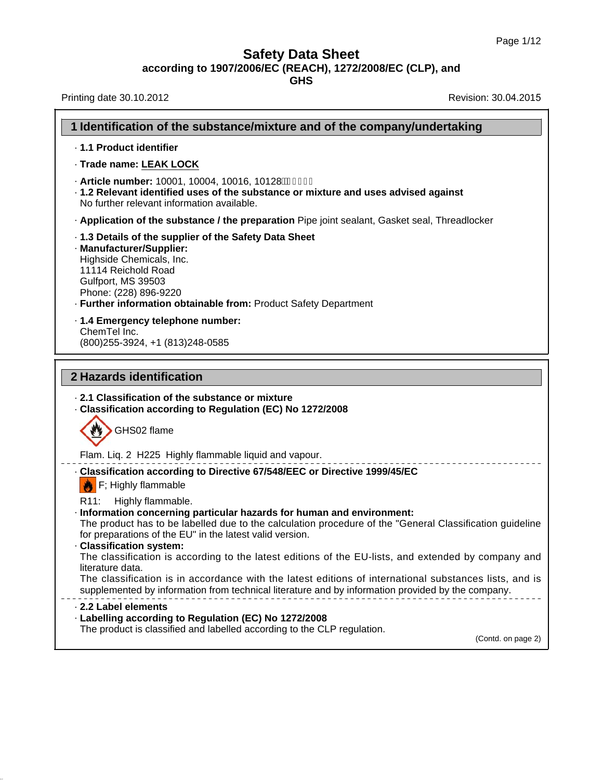**GHS**

Printing date 30.10.2012 **Revision: 30.04.2015** 

| 1 Identification of the substance/mixture and of the company/undertaking                                                                                                                                                                                                                 |
|------------------------------------------------------------------------------------------------------------------------------------------------------------------------------------------------------------------------------------------------------------------------------------------|
| · 1.1 Product identifier                                                                                                                                                                                                                                                                 |
| · Trade name: LEAK LOCK                                                                                                                                                                                                                                                                  |
| · Article number: 10001, 10004, 10016, 10128फ़्रैंह्रि Í €<br>. 1.2 Relevant identified uses of the substance or mixture and uses advised against<br>No further relevant information available.                                                                                          |
| . Application of the substance / the preparation Pipe joint sealant, Gasket seal, Threadlocker                                                                                                                                                                                           |
| . 1.3 Details of the supplier of the Safety Data Sheet<br>· Manufacturer/Supplier:<br>Highside Chemicals, Inc.<br>11114 Reichold Road<br>Gulfport, MS 39503<br>Phone: (228) 896-9220<br>· Further information obtainable from: Product Safety Department                                 |
| - 1.4 Emergency telephone number:                                                                                                                                                                                                                                                        |
| ChemTel Inc.<br>(800) 255-3924, +1 (813) 248-0585                                                                                                                                                                                                                                        |
| 2 Hazards identification                                                                                                                                                                                                                                                                 |
|                                                                                                                                                                                                                                                                                          |
| 2.1 Classification of the substance or mixture<br>- Classification according to Regulation (EC) No 1272/2008<br>GHS02 flame                                                                                                                                                              |
| Flam. Liq. 2 H225 Highly flammable liquid and vapour.                                                                                                                                                                                                                                    |
| - Classification according to Directive 67/548/EEC or Directive 1999/45/EC<br>$\left  \right $ F; Highly flammable                                                                                                                                                                       |
| R <sub>11</sub> :<br>Highly flammable.<br>· Information concerning particular hazards for human and environment:<br>The product has to be labelled due to the calculation procedure of the "General Classification guideline<br>for preparations of the EU" in the latest valid version. |
| · Classification system:<br>The classification is according to the latest editions of the EU-lists, and extended by company and<br>literature data.                                                                                                                                      |
| The classification is in accordance with the latest editions of international substances lists, and is<br>supplemented by information from technical literature and by information provided by the company.                                                                              |
| 2.2 Label elements<br>· Labelling according to Regulation (EC) No 1272/2008                                                                                                                                                                                                              |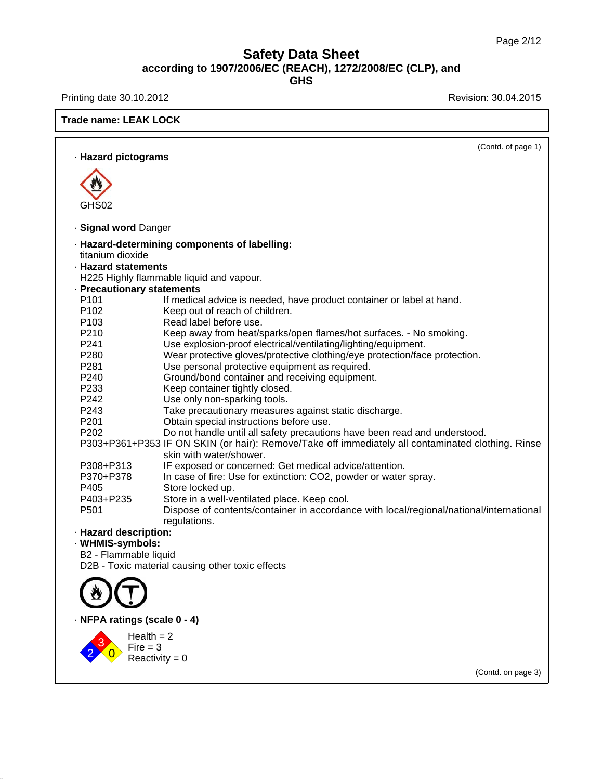Printing date 30.10.2012 **Revision: 30.04.2015** 

**Trade name: LEAK LOCK**

|                                      | (Contd. of page 1)                                                                                                           |
|--------------------------------------|------------------------------------------------------------------------------------------------------------------------------|
| · Hazard pictograms                  |                                                                                                                              |
|                                      |                                                                                                                              |
|                                      |                                                                                                                              |
|                                      |                                                                                                                              |
| GHS02                                |                                                                                                                              |
| · Signal word Danger                 |                                                                                                                              |
|                                      | · Hazard-determining components of labelling:                                                                                |
| titanium dioxide                     |                                                                                                                              |
| · Hazard statements                  |                                                                                                                              |
|                                      | H225 Highly flammable liquid and vapour.                                                                                     |
| · Precautionary statements           |                                                                                                                              |
| P <sub>101</sub>                     | If medical advice is needed, have product container or label at hand.                                                        |
| P <sub>102</sub><br>P <sub>103</sub> | Keep out of reach of children.<br>Read label before use.                                                                     |
| P210                                 | Keep away from heat/sparks/open flames/hot surfaces. - No smoking.                                                           |
| P241                                 | Use explosion-proof electrical/ventilating/lighting/equipment.                                                               |
| P280                                 | Wear protective gloves/protective clothing/eye protection/face protection.                                                   |
| P281                                 | Use personal protective equipment as required.                                                                               |
| P240                                 | Ground/bond container and receiving equipment.                                                                               |
| P233                                 | Keep container tightly closed.                                                                                               |
| P <sub>242</sub>                     | Use only non-sparking tools.                                                                                                 |
| P243                                 | Take precautionary measures against static discharge.                                                                        |
| P201                                 | Obtain special instructions before use.                                                                                      |
| P <sub>202</sub>                     | Do not handle until all safety precautions have been read and understood.                                                    |
|                                      | P303+P361+P353 IF ON SKIN (or hair): Remove/Take off immediately all contaminated clothing. Rinse<br>skin with water/shower. |
| P308+P313                            | IF exposed or concerned: Get medical advice/attention.                                                                       |
| P370+P378                            | In case of fire: Use for extinction: CO2, powder or water spray.                                                             |
| P405                                 | Store locked up.                                                                                                             |
| P403+P235                            | Store in a well-ventilated place. Keep cool.                                                                                 |
| P <sub>501</sub>                     | Dispose of contents/container in accordance with local/regional/national/international                                       |
|                                      | regulations.                                                                                                                 |
| · Hazard description:                |                                                                                                                              |
| · WHMIS-symbols:                     |                                                                                                                              |
| B2 - Flammable liquid                |                                                                                                                              |
|                                      | D2B - Toxic material causing other toxic effects                                                                             |
|                                      |                                                                                                                              |
|                                      |                                                                                                                              |
| · NFPA ratings (scale 0 - 4)         |                                                                                                                              |
|                                      | Health $= 2$                                                                                                                 |
| $Fire = 3$                           |                                                                                                                              |
|                                      | Reactivity = $0$                                                                                                             |
|                                      | (Contd. on page 3)                                                                                                           |
|                                      |                                                                                                                              |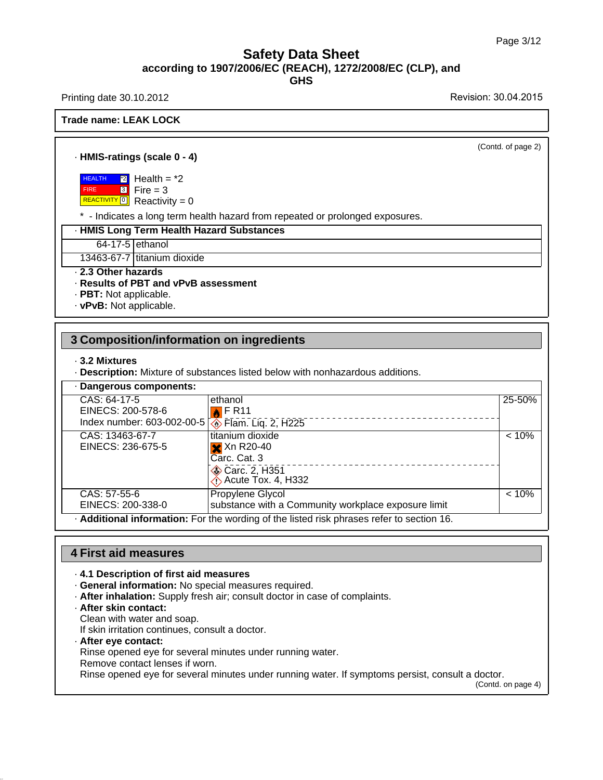Printing date 30.10.2012 **Printing date 30.10.2015** 

#### **Trade name: LEAK LOCK**

(Contd. of page 2)

#### · **HMIS-ratings (scale 0 - 4)**

 HEALTH FIRE  $\overline{2}$  Health =  $\overline{2}$ <mark>3</mark> Fire = 3

REACTIVITY<sup>O</sup> Reactivity = 0

\* - Indicates a long term health hazard from repeated or prolonged exposures.

#### · **HMIS Long Term Health Hazard Substances**

64-17-5 ethanol

13463-67-7 titanium dioxide

· **2.3 Other hazards**

#### · **Results of PBT and vPvB assessment**

· **PBT:** Not applicable.

· **vPvB:** Not applicable.

## **3 Composition/information on ingredients**

#### · **3.2 Mixtures**

· **Description:** Mixture of substances listed below with nonhazardous additions.

| · Dangerous components:                                                                        |                                                     |        |
|------------------------------------------------------------------------------------------------|-----------------------------------------------------|--------|
| $\overline{CAS: 64-17-5}$                                                                      | ethanol                                             | 25-50% |
| EINECS: 200-578-6                                                                              | $\blacksquare$ F R11                                |        |
| Index number: 603-002-00-5<br>• Flam. Liq. 2, H225                                             |                                                     |        |
| CAS: 13463-67-7                                                                                | titanium dioxide                                    | < 10%  |
| EINECS: 236-675-5                                                                              | $\mathsf{\times}$ Xn R20-40                         |        |
|                                                                                                | Carc. Cat. 3                                        |        |
|                                                                                                | Carc. 2, H351                                       |        |
|                                                                                                | $\Diamond$ Acute Tox. 4, H332                       |        |
| CAS: 57-55-6                                                                                   | Propylene Glycol                                    | < 10%  |
| EINECS: 200-338-0                                                                              | substance with a Community workplace exposure limit |        |
| <b>Additional information:</b> For the wording of the listed risk phrases refer to section 16. |                                                     |        |

## **4 First aid measures**

#### · **4.1 Description of first aid measures**

- · **General information:** No special measures required.
- · **After inhalation:** Supply fresh air; consult doctor in case of complaints.
- · **After skin contact:**
- Clean with water and soap.
- If skin irritation continues, consult a doctor.

#### · **After eye contact:**

Rinse opened eye for several minutes under running water.

Remove contact lenses if worn.

Rinse opened eye for several minutes under running water. If symptoms persist, consult a doctor.

(Contd. on page 4)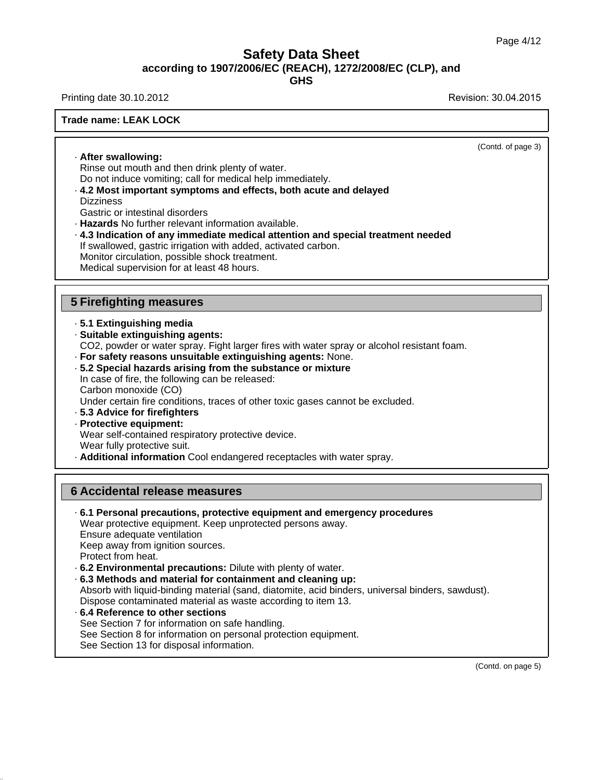**GHS**

Printing date 30.10.2012 **Revision: 30.04.2015** 

#### **Trade name: LEAK LOCK**

(Contd. of page 3)

· **After swallowing:** Rinse out mouth and then drink plenty of water. Do not induce vomiting; call for medical help immediately.

· **4.2 Most important symptoms and effects, both acute and delayed Dizziness** 

Gastric or intestinal disorders

· **Hazards** No further relevant information available.

· **4.3 Indication of any immediate medical attention and special treatment needed** If swallowed, gastric irrigation with added, activated carbon. Monitor circulation, possible shock treatment. Medical supervision for at least 48 hours.

#### **5 Firefighting measures**

- · **5.1 Extinguishing media**
- · **Suitable extinguishing agents:**

CO2, powder or water spray. Fight larger fires with water spray or alcohol resistant foam.

- · **For safety reasons unsuitable extinguishing agents:** None.
- · **5.2 Special hazards arising from the substance or mixture**

In case of fire, the following can be released: Carbon monoxide (CO) Under certain fire conditions, traces of other toxic gases cannot be excluded.

- · **5.3 Advice for firefighters**
- · **Protective equipment:** Wear self-contained respiratory protective device. Wear fully protective suit.
- · **Additional information** Cool endangered receptacles with water spray.

#### **6 Accidental release measures**

· **6.1 Personal precautions, protective equipment and emergency procedures** Wear protective equipment. Keep unprotected persons away. Ensure adequate ventilation Keep away from ignition sources. Protect from heat. · **6.2 Environmental precautions:** Dilute with plenty of water. · **6.3 Methods and material for containment and cleaning up:**

Absorb with liquid-binding material (sand, diatomite, acid binders, universal binders, sawdust). Dispose contaminated material as waste according to item 13.

· **6.4 Reference to other sections** See Section 7 for information on safe handling. See Section 8 for information on personal protection equipment. See Section 13 for disposal information.

(Contd. on page 5)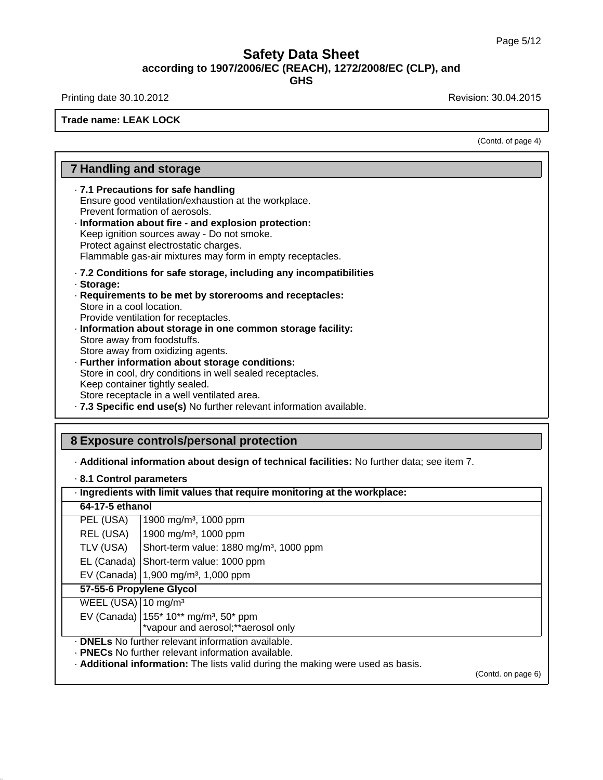Printing date 30.10.2012 **Revision: 30.04.2015** 

**Trade name: LEAK LOCK**

(Contd. of page 4)

## **7 Handling and storage**

· **7.1 Precautions for safe handling** Ensure good ventilation/exhaustion at the workplace.

- Prevent formation of aerosols.
- · **Information about fire and explosion protection:** Keep ignition sources away - Do not smoke. Protect against electrostatic charges. Flammable gas-air mixtures may form in empty receptacles.
- · **7.2 Conditions for safe storage, including any incompatibilities**
- · **Storage:**
- · **Requirements to be met by storerooms and receptacles:** Store in a cool location. Provide ventilation for receptacles.
- · **Information about storage in one common storage facility:** Store away from foodstuffs. Store away from oxidizing agents.
- · **Further information about storage conditions:** Store in cool, dry conditions in well sealed receptacles. Keep container tightly sealed. Store receptacle in a well ventilated area. · **7.3 Specific end use(s)** No further relevant information available.

## **8 Exposure controls/personal protection**

· **Additional information about design of technical facilities:** No further data; see item 7.

|  |  |  | 8.1 Control parameters |
|--|--|--|------------------------|
|--|--|--|------------------------|

| · Ingredients with limit values that require monitoring at the workplace: |                                                                                 |  |  |
|---------------------------------------------------------------------------|---------------------------------------------------------------------------------|--|--|
|                                                                           | 64-17-5 ethanol                                                                 |  |  |
| PEL (USA)                                                                 | 1900 mg/m <sup>3</sup> , 1000 ppm                                               |  |  |
| REL (USA)                                                                 | 1900 mg/m <sup>3</sup> , 1000 ppm                                               |  |  |
| TLV (USA)<br>Short-term value: 1880 mg/m <sup>3</sup> , 1000 ppm          |                                                                                 |  |  |
|                                                                           | EL (Canada) Short-term value: 1000 ppm                                          |  |  |
|                                                                           | EV (Canada) $ 1,900 \text{ mg/m}^3$ , 1,000 ppm                                 |  |  |
| 57-55-6 Propylene Glycol                                                  |                                                                                 |  |  |
| WEEL (USA) $10 \text{ mg/m}^3$                                            |                                                                                 |  |  |
| EV (Canada)   155* 10** mg/m <sup>3</sup> , 50* ppm                       |                                                                                 |  |  |
| *vapour and aerosol; ** aerosol only                                      |                                                                                 |  |  |
|                                                                           | . <b>DNELs</b> No further relevant information available.                       |  |  |
|                                                                           | . PNECs No further relevant information available.                              |  |  |
|                                                                           | . Additional information: The lists valid during the making were used as basis. |  |  |

(Contd. on page 6)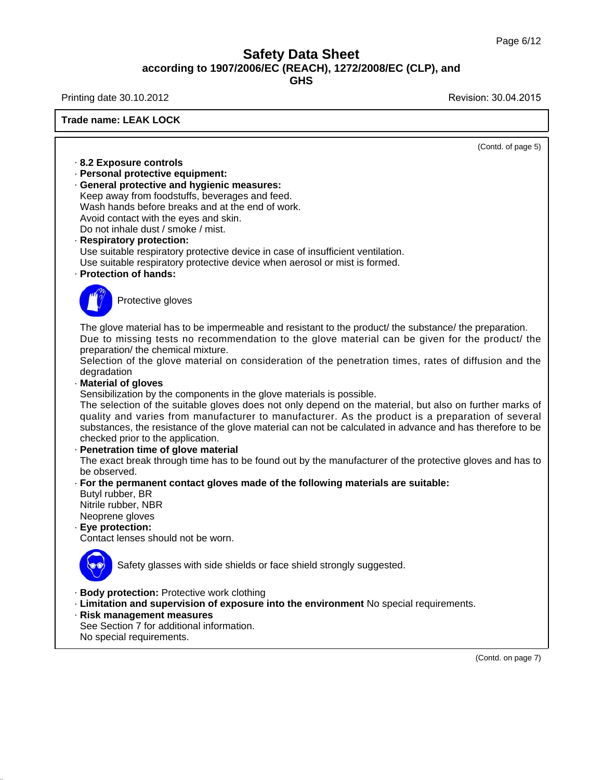٦

# **Safety Data Sheet according to 1907/2006/EC (REACH), 1272/2008/EC (CLP), and**

**GHS**

Printing date 30.10.2012 **Revision: 30.04.2015** 

| <b>Trade name: LEAK LOCK</b>                                                                                                                                                                                                                                                                                                                                                                                                                                                                                                                                                                                                                                                                                                                                                                                                                                                                                                                                                                                                                                                                                                                                                        |
|-------------------------------------------------------------------------------------------------------------------------------------------------------------------------------------------------------------------------------------------------------------------------------------------------------------------------------------------------------------------------------------------------------------------------------------------------------------------------------------------------------------------------------------------------------------------------------------------------------------------------------------------------------------------------------------------------------------------------------------------------------------------------------------------------------------------------------------------------------------------------------------------------------------------------------------------------------------------------------------------------------------------------------------------------------------------------------------------------------------------------------------------------------------------------------------|
| (Contd. of page 5)                                                                                                                                                                                                                                                                                                                                                                                                                                                                                                                                                                                                                                                                                                                                                                                                                                                                                                                                                                                                                                                                                                                                                                  |
| 8.2 Exposure controls<br>· Personal protective equipment:<br>· General protective and hygienic measures:<br>Keep away from foodstuffs, beverages and feed.<br>Wash hands before breaks and at the end of work.<br>Avoid contact with the eyes and skin.<br>Do not inhale dust / smoke / mist.<br>· Respiratory protection:<br>Use suitable respiratory protective device in case of insufficient ventilation.<br>Use suitable respiratory protective device when aerosol or mist is formed.<br>· Protection of hands:                                                                                                                                                                                                                                                                                                                                                                                                                                                                                                                                                                                                                                                               |
| Protective gloves                                                                                                                                                                                                                                                                                                                                                                                                                                                                                                                                                                                                                                                                                                                                                                                                                                                                                                                                                                                                                                                                                                                                                                   |
| The glove material has to be impermeable and resistant to the product/ the substance/ the preparation.<br>Due to missing tests no recommendation to the glove material can be given for the product/ the<br>preparation/ the chemical mixture.<br>Selection of the glove material on consideration of the penetration times, rates of diffusion and the<br>degradation<br>· Material of gloves<br>Sensibilization by the components in the glove materials is possible.<br>The selection of the suitable gloves does not only depend on the material, but also on further marks of<br>quality and varies from manufacturer to manufacturer. As the product is a preparation of several<br>substances, the resistance of the glove material can not be calculated in advance and has therefore to be<br>checked prior to the application.<br>· Penetration time of glove material<br>The exact break through time has to be found out by the manufacturer of the protective gloves and has to<br>be observed.<br>· For the permanent contact gloves made of the following materials are suitable:<br>Butyl rubber, BR<br>Nitrile rubber, NBR<br>Neoprene gloves<br>· Eye protection: |
| Contact lenses should not be worn.<br><b>Service</b><br>Safety glasses with side shields or face shield strongly suggested.                                                                                                                                                                                                                                                                                                                                                                                                                                                                                                                                                                                                                                                                                                                                                                                                                                                                                                                                                                                                                                                         |
| · Body protection: Protective work clothing<br>· Limitation and supervision of exposure into the environment No special requirements.<br>· Risk management measures<br>See Section 7 for additional information.<br>No special requirements.                                                                                                                                                                                                                                                                                                                                                                                                                                                                                                                                                                                                                                                                                                                                                                                                                                                                                                                                        |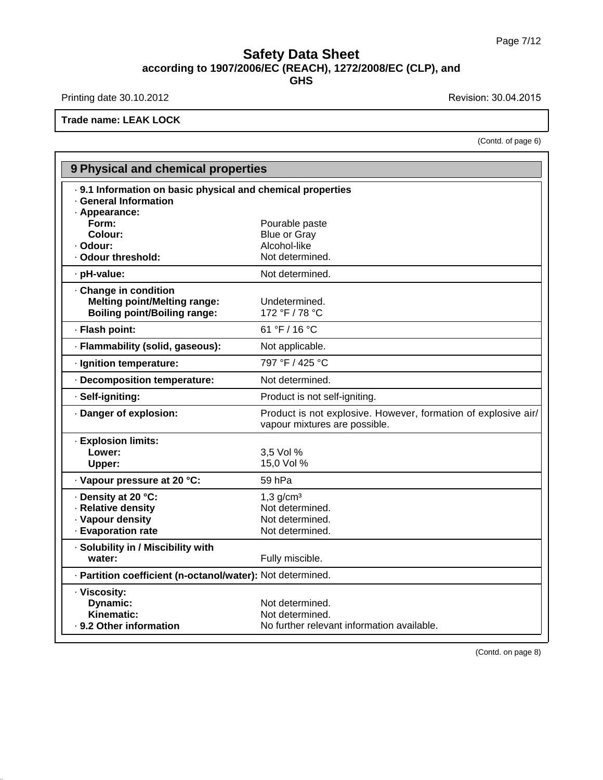Printing date 30.10.2012 **Revision: 30.04.2015** 

**Trade name: LEAK LOCK**

(Contd. of page 6)

|                                                                                                     | 9 Physical and chemical properties                                                              |  |  |
|-----------------------------------------------------------------------------------------------------|-------------------------------------------------------------------------------------------------|--|--|
| . 9.1 Information on basic physical and chemical properties<br>· General Information                |                                                                                                 |  |  |
| · Appearance:<br>Form:                                                                              | Pourable paste                                                                                  |  |  |
| Colour:                                                                                             | <b>Blue or Gray</b>                                                                             |  |  |
| · Odour:                                                                                            | Alcohol-like                                                                                    |  |  |
| · Odour threshold:                                                                                  | Not determined.                                                                                 |  |  |
| · pH-value:                                                                                         | Not determined.                                                                                 |  |  |
| · Change in condition<br><b>Melting point/Melting range:</b><br><b>Boiling point/Boiling range:</b> | Undetermined.<br>172 °F / 78 °C                                                                 |  |  |
| · Flash point:                                                                                      | 61 °F / 16 °C                                                                                   |  |  |
| · Flammability (solid, gaseous):                                                                    | Not applicable.                                                                                 |  |  |
| · Ignition temperature:                                                                             | 797 °F / 425 °C                                                                                 |  |  |
| · Decomposition temperature:                                                                        | Not determined.                                                                                 |  |  |
| · Self-igniting:                                                                                    | Product is not self-igniting.                                                                   |  |  |
| Danger of explosion:                                                                                | Product is not explosive. However, formation of explosive air/<br>vapour mixtures are possible. |  |  |
| · Explosion limits:<br>Lower:<br>Upper:                                                             | 3,5 Vol %<br>15,0 Vol %                                                                         |  |  |
| · Vapour pressure at 20 °C:                                                                         | 59 hPa                                                                                          |  |  |
| · Density at 20 °C:                                                                                 | $1,3$ g/cm <sup>3</sup>                                                                         |  |  |
| · Relative density                                                                                  | Not determined.                                                                                 |  |  |
| · Vapour density                                                                                    | Not determined.                                                                                 |  |  |
| - Evaporation rate                                                                                  | Not determined.                                                                                 |  |  |
| · Solubility in / Miscibility with<br>water:                                                        | Fully miscible.                                                                                 |  |  |
| - Partition coefficient (n-octanol/water): Not determined.                                          |                                                                                                 |  |  |
| · Viscosity:<br>Dynamic:<br>Kinematic:<br>· 9.2 Other information                                   | Not determined.<br>Not determined.<br>No further relevant information available.                |  |  |

(Contd. on page 8)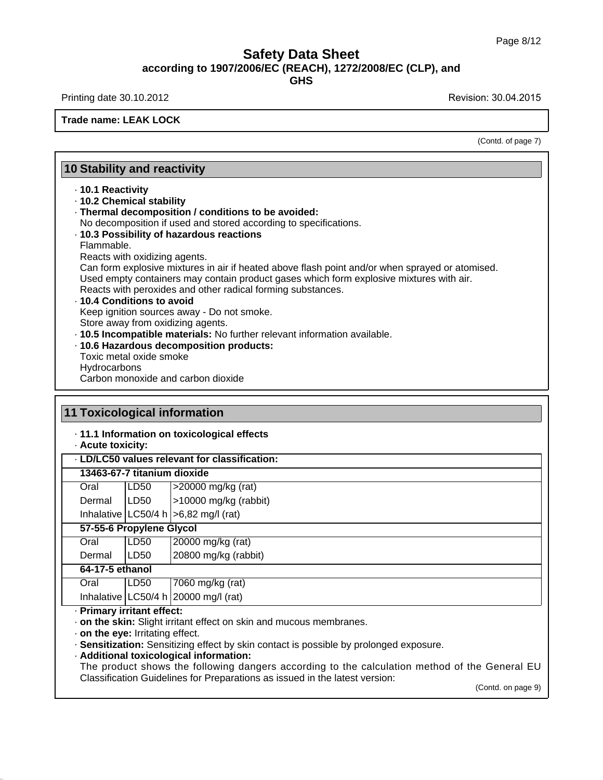Printing date 30.10.2012 **Revision: 30.04.2015** 

**Trade name: LEAK LOCK**

(Contd. of page 7)

## **10 Stability and reactivity**

#### · **10.1 Reactivity**

· **10.2 Chemical stability**

- · **Thermal decomposition / conditions to be avoided:**
- No decomposition if used and stored according to specifications.

#### · **10.3 Possibility of hazardous reactions**

Flammable.

Reacts with oxidizing agents.

Can form explosive mixtures in air if heated above flash point and/or when sprayed or atomised. Used empty containers may contain product gases which form explosive mixtures with air. Reacts with peroxides and other radical forming substances.

## · **10.4 Conditions to avoid**

Keep ignition sources away - Do not smoke.

Store away from oxidizing agents.

- · **10.5 Incompatible materials:** No further relevant information available.
- · **10.6 Hazardous decomposition products:**
- Toxic metal oxide smoke **Hydrocarbons**

Carbon monoxide and carbon dioxide

|                   | <b>11 Toxicological information</b>                                                    |                                               |  |
|-------------------|----------------------------------------------------------------------------------------|-----------------------------------------------|--|
| · Acute toxicity: |                                                                                        | 11.1 Information on toxicological effects     |  |
|                   |                                                                                        | · LD/LC50 values relevant for classification: |  |
|                   | 13463-67-7 titanium dioxide                                                            |                                               |  |
| Oral              | LD <sub>50</sub>                                                                       | $>$ 20000 mg/kg (rat)                         |  |
| Dermal            | ILD50                                                                                  | >10000 mg/kg (rabbit)                         |  |
|                   |                                                                                        | Inhalative $ LC50/4 h  > 6,82 mg/l$ (rat)     |  |
|                   | 57-55-6 Propylene Glycol                                                               |                                               |  |
| Oral              | LD <sub>50</sub>                                                                       | 20000 mg/kg (rat)                             |  |
| Dermal            | LD <sub>50</sub>                                                                       | 20800 mg/kg (rabbit)                          |  |
|                   | 64-17-5 ethanol                                                                        |                                               |  |
| Oral              | LD <sub>50</sub>                                                                       | 7060 mg/kg (rat)                              |  |
|                   |                                                                                        | Inhalative $ LC50/4 h 20000 mg/l$ (rat)       |  |
|                   | · Primary irritant effect:                                                             |                                               |  |
|                   | . on the skin: Slight irritant effect on skin and mucous membranes.                    |                                               |  |
|                   | . on the eye: Irritating effect.                                                       |                                               |  |
|                   | · Sensitization: Sensitizing effect by skin contact is possible by prolonged exposure. |                                               |  |

· **Additional toxicological information:**

The product shows the following dangers according to the calculation method of the General EU Classification Guidelines for Preparations as issued in the latest version:

(Contd. on page 9)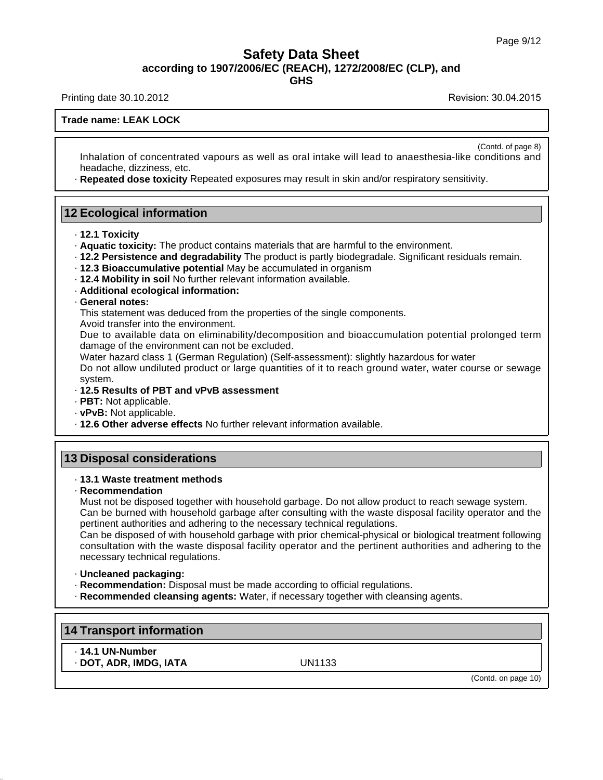**GHS**

Printing date 30.10.2012 **Revision: 30.04.2015** 

(Contd. of page 8)

#### **Trade name: LEAK LOCK**

Inhalation of concentrated vapours as well as oral intake will lead to anaesthesia-like conditions and headache, dizziness, etc.

· **Repeated dose toxicity** Repeated exposures may result in skin and/or respiratory sensitivity.

### **12 Ecological information**

- · **12.1 Toxicity**
- · **Aquatic toxicity:** The product contains materials that are harmful to the environment.
- · **12.2 Persistence and degradability** The product is partly biodegradale. Significant residuals remain.
- · **12.3 Bioaccumulative potential** May be accumulated in organism
- · **12.4 Mobility in soil** No further relevant information available.
- · **Additional ecological information:**

#### · **General notes:**

This statement was deduced from the properties of the single components.

Avoid transfer into the environment.

Due to available data on eliminability/decomposition and bioaccumulation potential prolonged term damage of the environment can not be excluded.

Water hazard class 1 (German Regulation) (Self-assessment): slightly hazardous for water Do not allow undiluted product or large quantities of it to reach ground water, water course or sewage system.

#### · **12.5 Results of PBT and vPvB assessment**

- · **PBT:** Not applicable.
- · **vPvB:** Not applicable.
- · **12.6 Other adverse effects** No further relevant information available.

## **13 Disposal considerations**

#### · **13.1 Waste treatment methods**

· **Recommendation**

Must not be disposed together with household garbage. Do not allow product to reach sewage system. Can be burned with household garbage after consulting with the waste disposal facility operator and the pertinent authorities and adhering to the necessary technical regulations.

Can be disposed of with household garbage with prior chemical-physical or biological treatment following consultation with the waste disposal facility operator and the pertinent authorities and adhering to the necessary technical regulations.

- · **Uncleaned packaging:**
- · **Recommendation:** Disposal must be made according to official regulations.
- · **Recommended cleansing agents:** Water, if necessary together with cleansing agents.

#### **14 Transport information**

- · **14.1 UN-Number**
- · **DOT, ADR, IMDG, IATA** UN1133

(Contd. on page 10)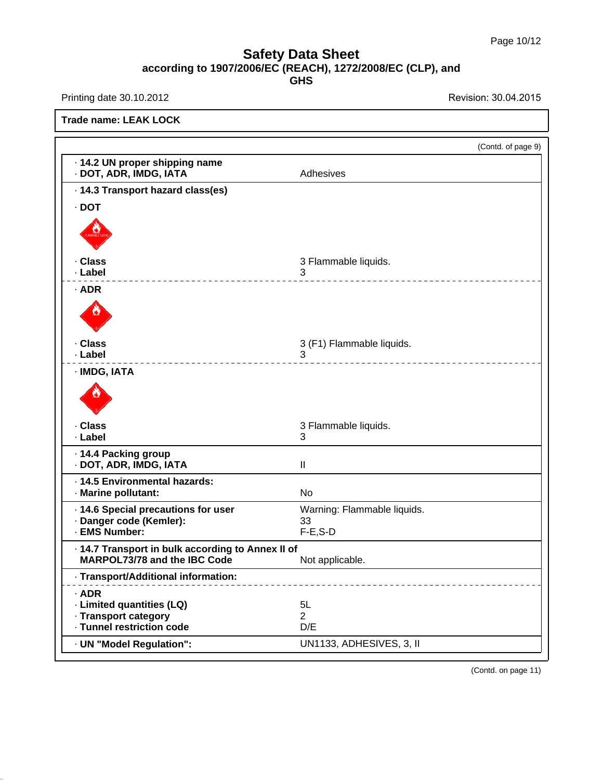Printing date 30.10.2012 **Revision: 30.04.2015** 

**Trade name: LEAK LOCK**

|                                                                                           | (Contd. of page 9)                     |
|-------------------------------------------------------------------------------------------|----------------------------------------|
| - 14.2 UN proper shipping name<br>· DOT, ADR, IMDG, IATA                                  | Adhesives                              |
| · 14.3 Transport hazard class(es)                                                         |                                        |
| $\cdot$ DOT                                                                               |                                        |
|                                                                                           |                                        |
| · Class                                                                                   | 3 Flammable liquids.                   |
| · Label                                                                                   | 3<br>----------                        |
| $·$ ADR                                                                                   |                                        |
| · Class                                                                                   | 3 (F1) Flammable liquids.              |
| · Label<br>· IMDG, IATA                                                                   | 3<br><u> - - - - - - - - - - - - -</u> |
|                                                                                           |                                        |
| . Class<br>· Label                                                                        | 3 Flammable liquids.<br>3              |
| · 14.4 Packing group<br>· DOT, ADR, IMDG, IATA                                            | Ш                                      |
| · 14.5 Environmental hazards:<br>· Marine pollutant:                                      | <b>No</b>                              |
| · 14.6 Special precautions for user<br>· Danger code (Kemler):                            | Warning: Flammable liquids.<br>33      |
| · EMS Number:                                                                             | $F-E$ , $S-D$                          |
| . 14.7 Transport in bulk according to Annex II of<br><b>MARPOL73/78 and the IBC Code</b>  | Not applicable.                        |
| Transport/Additional information:<br>------ <b>----</b> --- <b>----------</b> ---         |                                        |
| $·$ ADR<br>· Limited quantities (LQ)<br>· Transport category<br>· Tunnel restriction code | 5L<br>$\overline{2}$<br>D/E            |
| · UN "Model Regulation":                                                                  | UN1133, ADHESIVES, 3, II               |
|                                                                                           |                                        |

(Contd. on page 11)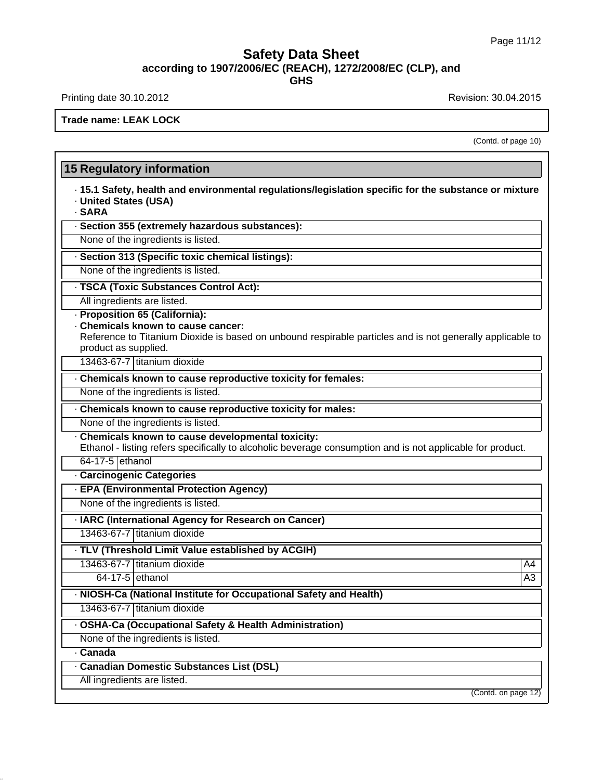Printing date 30.10.2012 **Revision: 30.04.2015** 

**Trade name: LEAK LOCK**

(Contd. of page 10)

| · 15.1 Safety, health and environmental regulations/legislation specific for the substance or mixture<br>· United States (USA)<br>· SARA                                                                                                 |    |
|------------------------------------------------------------------------------------------------------------------------------------------------------------------------------------------------------------------------------------------|----|
| · Section 355 (extremely hazardous substances):                                                                                                                                                                                          |    |
| None of the ingredients is listed.                                                                                                                                                                                                       |    |
| · Section 313 (Specific toxic chemical listings):                                                                                                                                                                                        |    |
| None of the ingredients is listed.                                                                                                                                                                                                       |    |
| · TSCA (Toxic Substances Control Act):                                                                                                                                                                                                   |    |
| All ingredients are listed.                                                                                                                                                                                                              |    |
| · Proposition 65 (California):<br>. Chemicals known to cause cancer:<br>Reference to Titanium Dioxide is based on unbound respirable particles and is not generally applicable to<br>product as supplied.<br>13463-67-7 titanium dioxide |    |
| . Chemicals known to cause reproductive toxicity for females:                                                                                                                                                                            |    |
| None of the ingredients is listed.                                                                                                                                                                                                       |    |
| Chemicals known to cause reproductive toxicity for males:                                                                                                                                                                                |    |
| None of the ingredients is listed.                                                                                                                                                                                                       |    |
| . Chemicals known to cause developmental toxicity:<br>Ethanol - listing refers specifically to alcoholic beverage consumption and is not applicable for product.                                                                         |    |
| 64-17-5 ethanol                                                                                                                                                                                                                          |    |
| · Carcinogenic Categories                                                                                                                                                                                                                |    |
| - EPA (Environmental Protection Agency)                                                                                                                                                                                                  |    |
| None of the ingredients is listed.                                                                                                                                                                                                       |    |
| · IARC (International Agency for Research on Cancer)                                                                                                                                                                                     |    |
| 13463-67-7 titanium dioxide                                                                                                                                                                                                              |    |
| . TLV (Threshold Limit Value established by ACGIH)                                                                                                                                                                                       |    |
| 13463-67-7 Ititanium dioxide                                                                                                                                                                                                             | A4 |
| $64-17-5$ ethanol                                                                                                                                                                                                                        | A3 |
| · NIOSH-Ca (National Institute for Occupational Safety and Health)                                                                                                                                                                       |    |
| 13463-67-7 titanium dioxide                                                                                                                                                                                                              |    |
| - OSHA-Ca (Occupational Safety & Health Administration)                                                                                                                                                                                  |    |
| None of the ingredients is listed.                                                                                                                                                                                                       |    |
| <b>Canada</b>                                                                                                                                                                                                                            |    |
| · Canadian Domestic Substances List (DSL)                                                                                                                                                                                                |    |
| All ingredients are listed.                                                                                                                                                                                                              |    |